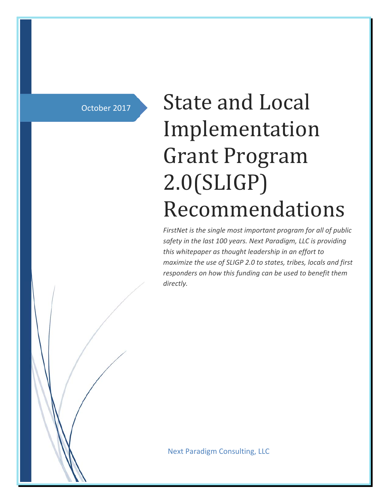October 2017

# State and Local Implementation Grant Program 2.0(SLIGP) Recommendations

*FirstNet is the single most important program for all of public safety in the last 100 years. Next Paradigm, LLC is providing this whitepaper as thought leadership in an effort to maximize the use of SLIGP 2.0 to states, tribes, locals and first responders on how this funding can be used to benefit them directly.*

Next Paradigm Consulting, LLC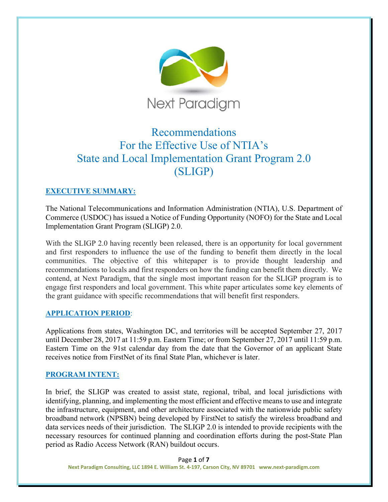

# Recommendations For the Effective Use of NTIA's State and Local Implementation Grant Program 2.0 (SLIGP)

# **EXECUTIVE SUMMARY:**

The National Telecommunications and Information Administration (NTIA), U.S. Department of Commerce (USDOC) has issued a Notice of Funding Opportunity (NOFO) for the State and Local Implementation Grant Program (SLIGP) 2.0.

With the SLIGP 2.0 having recently been released, there is an opportunity for local government and first responders to influence the use of the funding to benefit them directly in the local communities. The objective of this whitepaper is to provide thought leadership and recommendations to locals and first responders on how the funding can benefit them directly. We contend, at Next Paradigm, that the single most important reason for the SLIGP program is to engage first responders and local government. This white paper articulates some key elements of the grant guidance with specific recommendations that will benefit first responders.

#### **APPLICATION PERIOD**:

Applications from states, Washington DC, and territories will be accepted September 27, 2017 until December 28, 2017 at 11:59 p.m. Eastern Time; or from September 27, 2017 until 11:59 p.m. Eastern Time on the 91st calendar day from the date that the Governor of an applicant State receives notice from FirstNet of its final State Plan, whichever is later.

#### **PROGRAM INTENT:**

In brief, the SLIGP was created to assist state, regional, tribal, and local jurisdictions with identifying, planning, and implementing the most efficient and effective means to use and integrate the infrastructure, equipment, and other architecture associated with the nationwide public safety broadband network (NPSBN) being developed by FirstNet to satisfy the wireless broadband and data services needs of their jurisdiction. The SLIGP 2.0 is intended to provide recipients with the necessary resources for continued planning and coordination efforts during the post-State Plan period as Radio Access Network (RAN) buildout occurs.

Page **1** of **7 Next Paradigm Consulting, LLC 1894 E. William St. 4‐197, Carson City, NV 89701 www.next‐paradigm.com**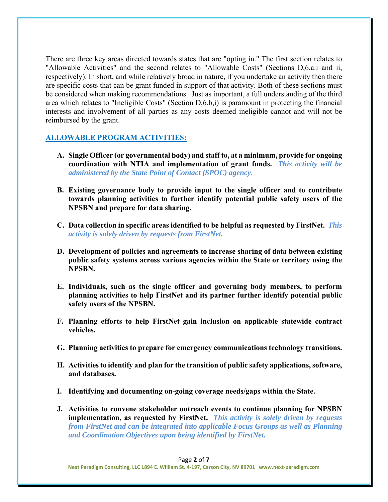There are three key areas directed towards states that are "opting in." The first section relates to "Allowable Activities" and the second relates to "Allowable Costs" (Sections D,6,a.i and ii, respectively). In short, and while relatively broad in nature, if you undertake an activity then there are specific costs that can be grant funded in support of that activity. Both of these sections must be considered when making recommendations. Just as important, a full understanding of the third area which relates to "Ineligible Costs" (Section D,6,b,i) is paramount in protecting the financial interests and involvement of all parties as any costs deemed ineligible cannot and will not be reimbursed by the grant.

### **ALLOWABLE PROGRAM ACTIVITIES:**

- **A. Single Officer (or governmental body) and staff to, at a minimum, provide for ongoing coordination with NTIA and implementation of grant funds.** *This activity will be administered by the State Point of Contact (SPOC) agency.*
- **B. Existing governance body to provide input to the single officer and to contribute towards planning activities to further identify potential public safety users of the NPSBN and prepare for data sharing.**
- **C. Data collection in specific areas identified to be helpful as requested by FirstNet.** *This activity is solely driven by requests from FirstNet.*
- **D. Development of policies and agreements to increase sharing of data between existing public safety systems across various agencies within the State or territory using the NPSBN.**
- **E. Individuals, such as the single officer and governing body members, to perform planning activities to help FirstNet and its partner further identify potential public safety users of the NPSBN.**
- **F. Planning efforts to help FirstNet gain inclusion on applicable statewide contract vehicles.**
- **G. Planning activities to prepare for emergency communications technology transitions.**
- **H. Activities to identify and plan for the transition of public safety applications, software, and databases.**
- **I. Identifying and documenting on-going coverage needs/gaps within the State.**
- **J. Activities to convene stakeholder outreach events to continue planning for NPSBN implementation, as requested by FirstNet.** *This activity is solely driven by requests from FirstNet and can be integrated into applicable Focus Groups as well as Planning and Coordination Objectives upon being identified by FirstNet.*

#### Page **2** of **7**

**Next Paradigm Consulting, LLC 1894 E. William St. 4‐197, Carson City, NV 89701 www.next‐paradigm.com**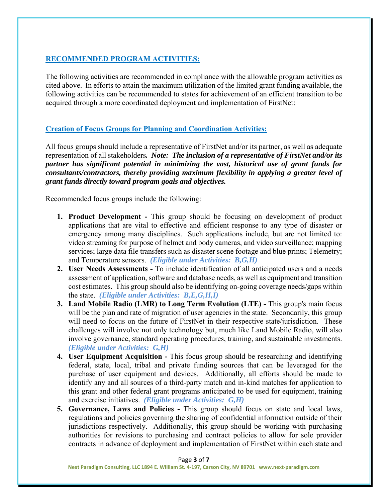## **RECOMMENDED PROGRAM ACTIVITIES:**

The following activities are recommended in compliance with the allowable program activities as cited above. In efforts to attain the maximum utilization of the limited grant funding available, the following activities can be recommended to states for achievement of an efficient transition to be acquired through a more coordinated deployment and implementation of FirstNet:

#### **Creation of Focus Groups for Planning and Coordination Activities:**

All focus groups should include a representative of FirstNet and/or its partner, as well as adequate representation of all stakeholders*. Note: The inclusion of a representative of FirstNet and/or its partner has significant potential in minimizing the vast, historical use of grant funds for consultants/contractors, thereby providing maximum flexibility in applying a greater level of grant funds directly toward program goals and objectives.*

Recommended focus groups include the following:

- **1. Product Development -** This group should be focusing on development of product applications that are vital to effective and efficient response to any type of disaster or emergency among many disciplines. Such applications include, but are not limited to: video streaming for purpose of helmet and body cameras, and video surveillance; mapping services; large data file transfers such as disaster scene footage and blue prints; Telemetry; and Temperature sensors. *(Eligible under Activities: B,G,H)*
- **2. User Needs Assessments** To include identification of all anticipated users and a needs assessment of application, software and database needs, as well as equipment and transition cost estimates. This group should also be identifying on-going coverage needs/gaps within the state. *(Eligible under Activities: B,E,G,H,I)*
- **3. Land Mobile Radio (LMR) to Long Term Evolution (LTE) -** This group's main focus will be the plan and rate of migration of user agencies in the state. Secondarily, this group will need to focus on the future of FirstNet in their respective state/jurisdiction. These challenges will involve not only technology but, much like Land Mobile Radio, will also involve governance, standard operating procedures, training, and sustainable investments. *(Eligible under Activities: G,H)*
- **4. User Equipment Acquisition** This focus group should be researching and identifying federal, state, local, tribal and private funding sources that can be leveraged for the purchase of user equipment and devices. Additionally, all efforts should be made to identify any and all sources of a third-party match and in-kind matches for application to this grant and other federal grant programs anticipated to be used for equipment, training and exercise initiatives. *(Eligible under Activities: G,H)*
- **5. Governance, Laws and Policies** This group should focus on state and local laws, regulations and policies governing the sharing of confidential information outside of their jurisdictions respectively. Additionally, this group should be working with purchasing authorities for revisions to purchasing and contract policies to allow for sole provider contracts in advance of deployment and implementation of FirstNet within each state and

Page **3** of **7**

**Next Paradigm Consulting, LLC 1894 E. William St. 4‐197, Carson City, NV 89701 www.next‐paradigm.com**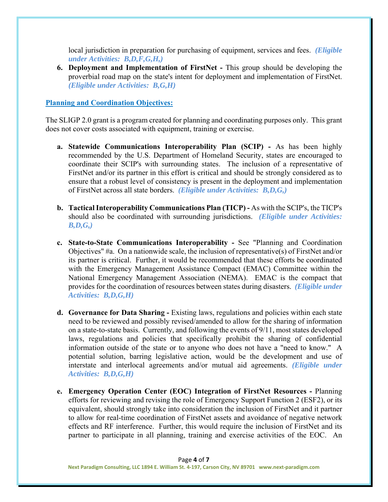local jurisdiction in preparation for purchasing of equipment, services and fees. *(Eligible under Activities: B,D,F,G,H,)*

**6. Deployment and Implementation of FirstNet -** This group should be developing the proverbial road map on the state's intent for deployment and implementation of FirstNet. *(Eligible under Activities: B,G,H)*

#### **Planning and Coordination Objectives:**

The SLIGP 2.0 grant is a program created for planning and coordinating purposes only. This grant does not cover costs associated with equipment, training or exercise.

- **a. Statewide Communications Interoperability Plan (SCIP)** As has been highly recommended by the U.S. Department of Homeland Security, states are encouraged to coordinate their SCIP's with surrounding states. The inclusion of a representative of FirstNet and/or its partner in this effort is critical and should be strongly considered as to ensure that a robust level of consistency is present in the deployment and implementation of FirstNet across all state borders. *(Eligible under Activities: B,D,G,)*
- **b. Tactical Interoperability Communications Plan (TICP)** As with the SCIP's, the TICP's should also be coordinated with surrounding jurisdictions. *(Eligible under Activities: B,D,G,)*
- **c. State-to-State Communications Interoperability** See "Planning and Coordination Objectives" #a. On a nationwide scale, the inclusion of representative(s) of FirstNet and/or its partner is critical. Further, it would be recommended that these efforts be coordinated with the Emergency Management Assistance Compact (EMAC) Committee within the National Emergency Management Association (NEMA). EMAC is the compact that provides for the coordination of resources between states during disasters. *(Eligible under Activities: B,D,G,H)*
- **d. Governance for Data Sharing** Existing laws, regulations and policies within each state need to be reviewed and possibly revised/amended to allow for the sharing of information on a state-to-state basis. Currently, and following the events of 9/11, most states developed laws, regulations and policies that specifically prohibit the sharing of confidential information outside of the state or to anyone who does not have a "need to know." A potential solution, barring legislative action, would be the development and use of interstate and interlocal agreements and/or mutual aid agreements. *(Eligible under Activities: B,D,G,H)*
- **e. Emergency Operation Center (EOC) Integration of FirstNet Resources** Planning efforts for reviewing and revising the role of Emergency Support Function 2 (ESF2), or its equivalent, should strongly take into consideration the inclusion of FirstNet and it partner to allow for real-time coordination of FirstNet assets and avoidance of negative network effects and RF interference. Further, this would require the inclusion of FirstNet and its partner to participate in all planning, training and exercise activities of the EOC. An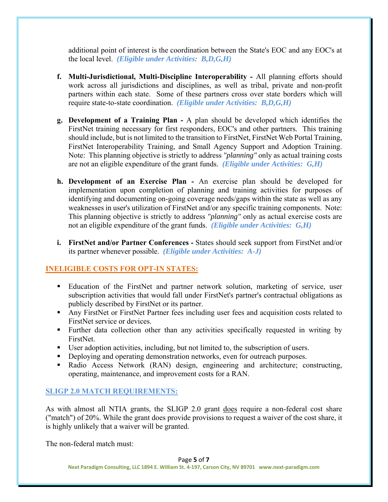additional point of interest is the coordination between the State's EOC and any EOC's at the local level. *(Eligible under Activities: B,D,G,H)*

- **f. Multi-Jurisdictional, Multi-Discipline Interoperability** All planning efforts should work across all jurisdictions and disciplines, as well as tribal, private and non-profit partners within each state. Some of these partners cross over state borders which will require state-to-state coordination. *(Eligible under Activities: B,D,G,H)*
- **g. Development of a Training Plan** A plan should be developed which identifies the FirstNet training necessary for first responders, EOC's and other partners. This training should include, but is not limited to the transition to FirstNet, FirstNet Web Portal Training, FirstNet Interoperability Training, and Small Agency Support and Adoption Training. Note: This planning objective is strictly to address *"planning"* only as actual training costs are not an eligible expenditure of the grant funds. *(Eligible under Activities: G,H)*
- **h. Development of an Exercise Plan** An exercise plan should be developed for implementation upon completion of planning and training activities for purposes of identifying and documenting on-going coverage needs/gaps within the state as well as any weaknesses in user's utilization of FirstNet and/or any specific training components. Note: This planning objective is strictly to address *"planning"* only as actual exercise costs are not an eligible expenditure of the grant funds. *(Eligible under Activities: G,H)*
- **i. FirstNet and/or Partner Conferences** States should seek support from FirstNet and/or its partner whenever possible. *(Eligible under Activities: A-J)*

#### **INELIGIBLE COSTS FOR OPT-IN STATES:**

- Education of the FirstNet and partner network solution, marketing of service, user subscription activities that would fall under FirstNet's partner's contractual obligations as publicly described by FirstNet or its partner.
- Any FirstNet or FirstNet Partner fees including user fees and acquisition costs related to FirstNet service or devices.
- Further data collection other than any activities specifically requested in writing by FirstNet.
- User adoption activities, including, but not limited to, the subscription of users.
- Deploying and operating demonstration networks, even for outreach purposes.
- Radio Access Network (RAN) design, engineering and architecture; constructing, operating, maintenance, and improvement costs for a RAN.

# **SLIGP 2.0 MATCH REQUIREMENTS:**

As with almost all NTIA grants, the SLIGP 2.0 grant does require a non-federal cost share ("match") of 20%. While the grant does provide provisions to request a waiver of the cost share, it is highly unlikely that a waiver will be granted.

The non-federal match must:

**Next Paradigm Consulting, LLC 1894 E. William St. 4‐197, Carson City, NV 89701 www.next‐paradigm.com**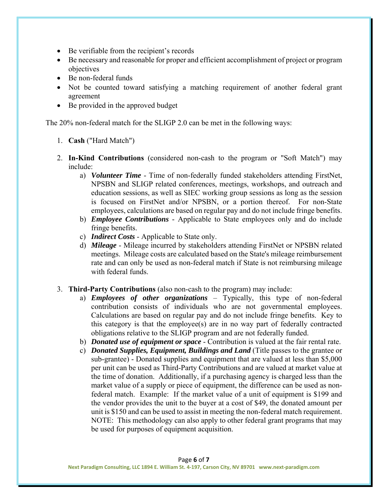- Be verifiable from the recipient's records
- Be necessary and reasonable for proper and efficient accomplishment of project or program objectives
- Be non-federal funds
- Not be counted toward satisfying a matching requirement of another federal grant agreement
- Be provided in the approved budget

The 20% non-federal match for the SLIGP 2.0 can be met in the following ways:

- 1. **Cash** ("Hard Match")
- 2. **In-Kind Contributions** (considered non-cash to the program or "Soft Match") may include:
	- a) *Volunteer Time* Time of non-federally funded stakeholders attending FirstNet, NPSBN and SLIGP related conferences, meetings, workshops, and outreach and education sessions, as well as SIEC working group sessions as long as the session is focused on FirstNet and/or NPSBN, or a portion thereof. For non-State employees, calculations are based on regular pay and do not include fringe benefits.
	- b) *Employee Contributions* Applicable to State employees only and do include fringe benefits.
	- c) *Indirect Costs* Applicable to State only.
	- d) *Mileage* Mileage incurred by stakeholders attending FirstNet or NPSBN related meetings. Mileage costs are calculated based on the State's mileage reimbursement rate and can only be used as non-federal match if State is not reimbursing mileage with federal funds.
- 3. **Third-Party Contributions** (also non-cash to the program) may include:
	- a) *Employees of other organizations* Typically, this type of non-federal contribution consists of individuals who are not governmental employees. Calculations are based on regular pay and do not include fringe benefits. Key to this category is that the employee(s) are in no way part of federally contracted obligations relative to the SLIGP program and are not federally funded.
	- b) *Donated use of equipment or space* Contribution is valued at the fair rental rate.
	- c) *Donated Supplies, Equipment, Buildings and Land* (Title passes to the grantee or sub-grantee) - Donated supplies and equipment that are valued at less than \$5,000 per unit can be used as Third-Party Contributions and are valued at market value at the time of donation. Additionally, if a purchasing agency is charged less than the market value of a supply or piece of equipment, the difference can be used as nonfederal match. Example: If the market value of a unit of equipment is \$199 and the vendor provides the unit to the buyer at a cost of \$49, the donated amount per unit is \$150 and can be used to assist in meeting the non-federal match requirement. NOTE: This methodology can also apply to other federal grant programs that may be used for purposes of equipment acquisition.